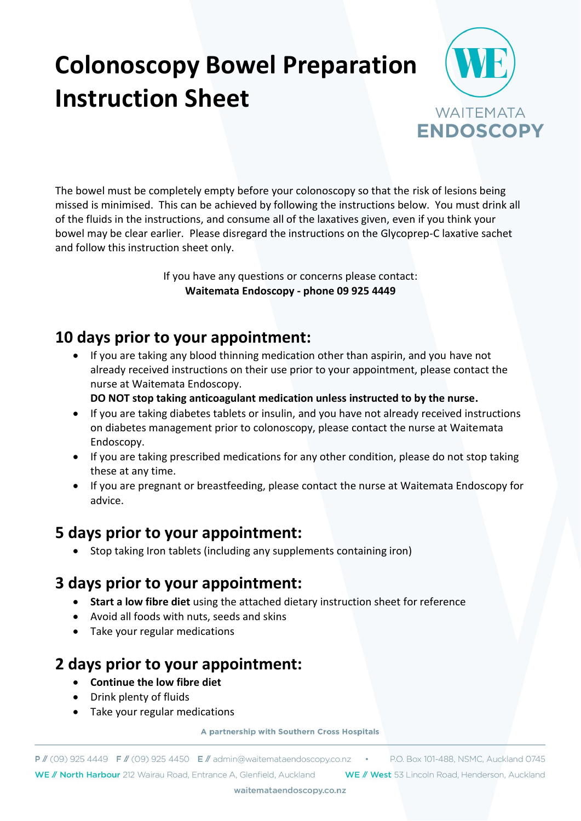# **Colonoscopy Bowel Preparation Instruction Sheet**



The bowel must be completely empty before your colonoscopy so that the risk of lesions being missed is minimised. This can be achieved by following the instructions below. You must drink all of the fluids in the instructions, and consume all of the laxatives given, even if you think your bowel may be clear earlier. Please disregard the instructions on the Glycoprep-C laxative sachet and follow this instruction sheet only.

> If you have any questions or concerns please contact: **Waitemata Endoscopy - phone 09 925 4449**

### **10 days prior to your appointment:**

- If you are taking any blood thinning medication other than aspirin, and you have not already received instructions on their use prior to your appointment, please contact the nurse at Waitemata Endoscopy.
	- **DO NOT stop taking anticoagulant medication unless instructed to by the nurse.**
- If you are taking diabetes tablets or insulin, and you have not already received instructions on diabetes management prior to colonoscopy, please contact the nurse at Waitemata Endoscopy.
- If you are taking prescribed medications for any other condition, please do not stop taking these at any time.
- If you are pregnant or breastfeeding, please contact the nurse at Waitemata Endoscopy for advice.

#### **5 days prior to your appointment:**

• Stop taking Iron tablets (including any supplements containing iron)

#### **3 days prior to your appointment:**

- **Start a low fibre diet** using the attached dietary instruction sheet for reference
- Avoid all foods with nuts, seeds and skins
- Take your regular medications

#### **2 days prior to your appointment:**

- **Continue the low fibre diet**
- Drink plenty of fluids
- Take your regular medications

A partnership with Southern Cross Hospitals

 $P$  // (09) 925 4449  $F$  // (09) 925 4450  $E$  // admin@waitemataendoscopy.co.nz  $\cdot$ WE // North Harbour 212 Wairau Road, Entrance A, Glenfield, Auckland WE // West 53 Lincoln Road, Henderson, Auckland

P.O. Box 101-488, NSMC, Auckland 0745

waitemataendoscopy.co.nz